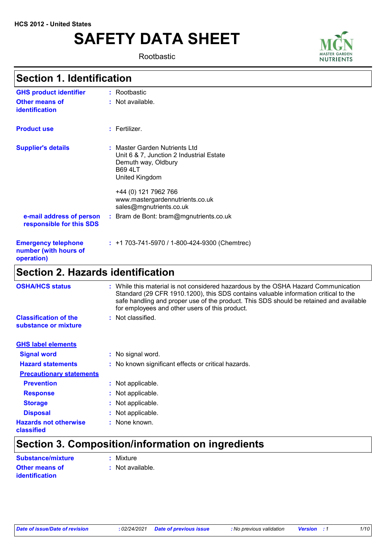# **SAFETY DATA SHEET**

Rootbastic



## **Section 1. Identification**

| <b>GHS product identifier</b>                                     | : Rootbastic                                                                                                                                                                                                               |  |
|-------------------------------------------------------------------|----------------------------------------------------------------------------------------------------------------------------------------------------------------------------------------------------------------------------|--|
| <b>Other means of</b><br>identification                           | : Not available.                                                                                                                                                                                                           |  |
| <b>Product use</b>                                                | $:$ Fertilizer.                                                                                                                                                                                                            |  |
| <b>Supplier's details</b>                                         | : Master Garden Nutrients Ltd<br>Unit 6 & 7, Junction 2 Industrial Estate<br>Demuth way, Oldbury<br><b>B69 4LT</b><br>United Kingdom<br>+44 (0) 121 7962 766<br>www.mastergardennutrients.co.uk<br>sales@mgnutrients.co.uk |  |
| e-mail address of person<br>responsible for this SDS              | : Bram de Bont: bram@mgnutrients.co.uk                                                                                                                                                                                     |  |
| <b>Emergency telephone</b><br>number (with hours of<br>operation) | $: +1703-741-5970/1-800-424-9300$ (Chemtrec)                                                                                                                                                                               |  |
| <b>Section 2. Hazards identification</b>                          |                                                                                                                                                                                                                            |  |

| <b>OSHA/HCS status</b>                               | : While this material is not considered hazardous by the OSHA Hazard Communication<br>Standard (29 CFR 1910.1200), this SDS contains valuable information critical to the<br>safe handling and proper use of the product. This SDS should be retained and available<br>for employees and other users of this product. |
|------------------------------------------------------|-----------------------------------------------------------------------------------------------------------------------------------------------------------------------------------------------------------------------------------------------------------------------------------------------------------------------|
| <b>Classification of the</b><br>substance or mixture | : Not classified.                                                                                                                                                                                                                                                                                                     |
| <b>GHS label elements</b>                            |                                                                                                                                                                                                                                                                                                                       |
| <b>Signal word</b>                                   | : No signal word.                                                                                                                                                                                                                                                                                                     |
| <b>Hazard statements</b>                             | : No known significant effects or critical hazards.                                                                                                                                                                                                                                                                   |
| <b>Precautionary statements</b>                      |                                                                                                                                                                                                                                                                                                                       |
| <b>Prevention</b>                                    | : Not applicable.                                                                                                                                                                                                                                                                                                     |
| <b>Response</b>                                      | : Not applicable.                                                                                                                                                                                                                                                                                                     |
| <b>Storage</b>                                       | : Not applicable.                                                                                                                                                                                                                                                                                                     |
| <b>Disposal</b>                                      | : Not applicable.                                                                                                                                                                                                                                                                                                     |
| <b>Hazards not otherwise</b><br>classified           | : None known.                                                                                                                                                                                                                                                                                                         |

## **Section 3. Composition/information on ingredients**

| Substance/mixture     | : Mixture        |
|-----------------------|------------------|
| <b>Other means of</b> | : Not available. |
| <b>identification</b> |                  |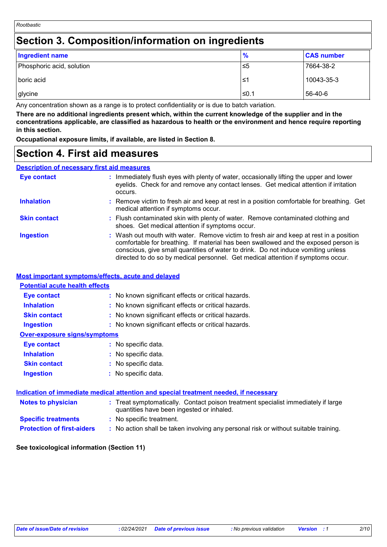## **Section 3. Composition/information on ingredients**

| <b>Ingredient name</b>    | $\frac{9}{6}$ | <b>CAS number</b> |
|---------------------------|---------------|-------------------|
| Phosphoric acid, solution | 5≥ ا          | 7664-38-2         |
|                           |               |                   |
| boric acid                | 1≥ ا          | 10043-35-3        |
| glycine                   | l≤0.1         | 56-40-6           |

Any concentration shown as a range is to protect confidentiality or is due to batch variation.

**There are no additional ingredients present which, within the current knowledge of the supplier and in the concentrations applicable, are classified as hazardous to health or the environment and hence require reporting in this section.**

**Occupational exposure limits, if available, are listed in Section 8.**

## **Section 4. First aid measures**

## **Description of necessary first aid measures**

| <b>Eye contact</b>  | : Immediately flush eyes with plenty of water, occasionally lifting the upper and lower<br>eyelids. Check for and remove any contact lenses. Get medical attention if irritation<br>occurs.                                                                                                                                                            |  |
|---------------------|--------------------------------------------------------------------------------------------------------------------------------------------------------------------------------------------------------------------------------------------------------------------------------------------------------------------------------------------------------|--|
| <b>Inhalation</b>   | : Remove victim to fresh air and keep at rest in a position comfortable for breathing. Get<br>medical attention if symptoms occur.                                                                                                                                                                                                                     |  |
| <b>Skin contact</b> | : Flush contaminated skin with plenty of water. Remove contaminated clothing and<br>shoes. Get medical attention if symptoms occur.                                                                                                                                                                                                                    |  |
| <b>Ingestion</b>    | : Wash out mouth with water. Remove victim to fresh air and keep at rest in a position<br>comfortable for breathing. If material has been swallowed and the exposed person is<br>conscious, give small quantities of water to drink. Do not induce vomiting unless<br>directed to do so by medical personnel. Get medical attention if symptoms occur. |  |

### **Most important symptoms/effects, acute and delayed**

| <b>Potential acute health effects</b> |                                                                                                                                |
|---------------------------------------|--------------------------------------------------------------------------------------------------------------------------------|
| Eye contact                           | : No known significant effects or critical hazards.                                                                            |
| <b>Inhalation</b>                     | : No known significant effects or critical hazards.                                                                            |
| <b>Skin contact</b>                   | : No known significant effects or critical hazards.                                                                            |
| <b>Ingestion</b>                      | : No known significant effects or critical hazards.                                                                            |
| <b>Over-exposure signs/symptoms</b>   |                                                                                                                                |
| <b>Eye contact</b>                    | : No specific data.                                                                                                            |
| <b>Inhalation</b>                     | : No specific data.                                                                                                            |
| <b>Skin contact</b>                   | : No specific data.                                                                                                            |
| <b>Ingestion</b>                      | : No specific data.                                                                                                            |
|                                       | Indication of immediate medical attention and special treatment needed, if necessary                                           |
| <b>Notes to physician</b>             | : Treat symptomatically. Contact poison treatment specialist immediately if large<br>quantities have been ingested or inhaled. |

- **Specific treatments :** No specific treatment.
- **Protection of first-aiders :** No action shall be taken involving any personal risk or without suitable training.

#### **See toxicological information (Section 11)**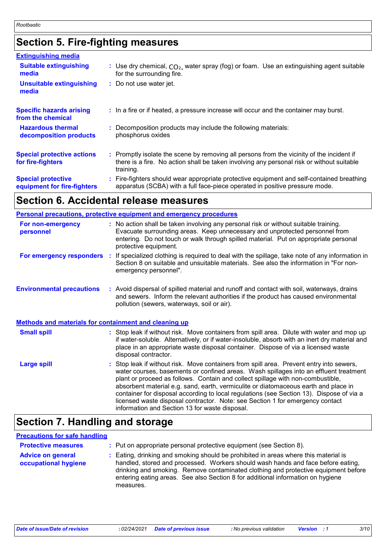## **Section 5. Fire-fighting measures**

| <b>Extinguishing media</b>                               |                                                                                                                                                                                                     |
|----------------------------------------------------------|-----------------------------------------------------------------------------------------------------------------------------------------------------------------------------------------------------|
| <b>Suitable extinguishing</b><br>media                   | : Use dry chemical, $CO2$ , water spray (fog) or foam. Use an extinguishing agent suitable<br>for the surrounding fire.                                                                             |
| <b>Unsuitable extinguishing</b><br>media                 | : Do not use water jet.                                                                                                                                                                             |
| <b>Specific hazards arising</b><br>from the chemical     | : In a fire or if heated, a pressure increase will occur and the container may burst.                                                                                                               |
| <b>Hazardous thermal</b><br>decomposition products       | : Decomposition products may include the following materials:<br>phosphorus oxides                                                                                                                  |
| <b>Special protective actions</b><br>for fire-fighters   | : Promptly isolate the scene by removing all persons from the vicinity of the incident if<br>there is a fire. No action shall be taken involving any personal risk or without suitable<br>training. |
| <b>Special protective</b><br>equipment for fire-fighters | : Fire-fighters should wear appropriate protective equipment and self-contained breathing<br>apparatus (SCBA) with a full face-piece operated in positive pressure mode.                            |

## **Section 6. Accidental release measures**

|                                  |                                                              | <b>Personal precautions, protective equipment and emergency procedures</b>                                                                                                                                                                                                                                                                                                                                                                                                                                                                                                                 |  |
|----------------------------------|--------------------------------------------------------------|--------------------------------------------------------------------------------------------------------------------------------------------------------------------------------------------------------------------------------------------------------------------------------------------------------------------------------------------------------------------------------------------------------------------------------------------------------------------------------------------------------------------------------------------------------------------------------------------|--|
| For non-emergency<br>personnel   |                                                              | : No action shall be taken involving any personal risk or without suitable training.<br>Evacuate surrounding areas. Keep unnecessary and unprotected personnel from<br>entering. Do not touch or walk through spilled material. Put on appropriate personal<br>protective equipment.                                                                                                                                                                                                                                                                                                       |  |
| For emergency responders         | ÷.                                                           | If specialized clothing is required to deal with the spillage, take note of any information in<br>Section 8 on suitable and unsuitable materials. See also the information in "For non-<br>emergency personnel".                                                                                                                                                                                                                                                                                                                                                                           |  |
| <b>Environmental precautions</b> |                                                              | : Avoid dispersal of spilled material and runoff and contact with soil, waterways, drains<br>and sewers. Inform the relevant authorities if the product has caused environmental<br>pollution (sewers, waterways, soil or air).                                                                                                                                                                                                                                                                                                                                                            |  |
|                                  | <b>Methods and materials for containment and cleaning up</b> |                                                                                                                                                                                                                                                                                                                                                                                                                                                                                                                                                                                            |  |
| <b>Small spill</b>               |                                                              | : Stop leak if without risk. Move containers from spill area. Dilute with water and mop up<br>if water-soluble. Alternatively, or if water-insoluble, absorb with an inert dry material and<br>place in an appropriate waste disposal container. Dispose of via a licensed waste<br>disposal contractor.                                                                                                                                                                                                                                                                                   |  |
| <b>Large spill</b>               |                                                              | : Stop leak if without risk. Move containers from spill area. Prevent entry into sewers,<br>water courses, basements or confined areas. Wash spillages into an effluent treatment<br>plant or proceed as follows. Contain and collect spillage with non-combustible,<br>absorbent material e.g. sand, earth, vermiculite or diatomaceous earth and place in<br>container for disposal according to local regulations (see Section 13). Dispose of via a<br>licensed waste disposal contractor. Note: see Section 1 for emergency contact<br>information and Section 13 for waste disposal. |  |

## **Section 7. Handling and storage**

#### **Precautions for safe handling**

| <b>Protective measures</b>                       | : Put on appropriate personal protective equipment (see Section 8).                                                                                                                                                                                                                                                                                           |
|--------------------------------------------------|---------------------------------------------------------------------------------------------------------------------------------------------------------------------------------------------------------------------------------------------------------------------------------------------------------------------------------------------------------------|
| <b>Advice on general</b><br>occupational hygiene | : Eating, drinking and smoking should be prohibited in areas where this material is<br>handled, stored and processed. Workers should wash hands and face before eating,<br>drinking and smoking. Remove contaminated clothing and protective equipment before<br>entering eating areas. See also Section 8 for additional information on hygiene<br>measures. |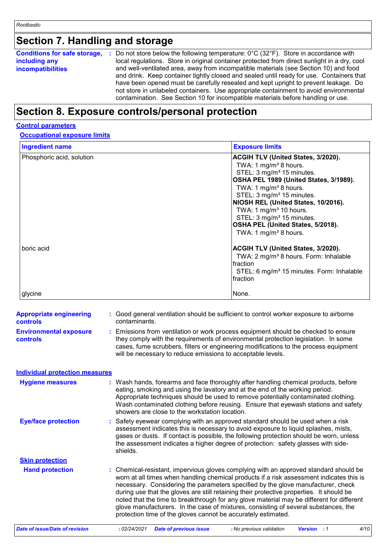## **Section 7. Handling and storage**

| <b>Conditions for safe storage,</b><br>including any<br>incompatibilities | Do not store below the following temperature: $0^{\circ}$ C (32 $^{\circ}$ F). Store in accordance with<br>. н.<br>local regulations. Store in original container protected from direct sunlight in a dry, cool<br>and well-ventilated area, away from incompatible materials (see Section 10) and food<br>and drink. Keep container tightly closed and sealed until ready for use. Containers that<br>have been opened must be carefully resealed and kept upright to prevent leakage. Do<br>not store in unlabeled containers. Use appropriate containment to avoid environmental<br>contamination. See Section 10 for incompatible materials before handling or use. |
|---------------------------------------------------------------------------|-------------------------------------------------------------------------------------------------------------------------------------------------------------------------------------------------------------------------------------------------------------------------------------------------------------------------------------------------------------------------------------------------------------------------------------------------------------------------------------------------------------------------------------------------------------------------------------------------------------------------------------------------------------------------|
|---------------------------------------------------------------------------|-------------------------------------------------------------------------------------------------------------------------------------------------------------------------------------------------------------------------------------------------------------------------------------------------------------------------------------------------------------------------------------------------------------------------------------------------------------------------------------------------------------------------------------------------------------------------------------------------------------------------------------------------------------------------|

## **Section 8. Exposure controls/personal protection**

#### **Control parameters**

#### **Occupational exposure limits**

| <b>Ingredient name</b>    | <b>Exposure limits</b>                                                                                                                                                                                                                                                                                                                                                                                                                          |
|---------------------------|-------------------------------------------------------------------------------------------------------------------------------------------------------------------------------------------------------------------------------------------------------------------------------------------------------------------------------------------------------------------------------------------------------------------------------------------------|
| Phosphoric acid, solution | <b>ACGIH TLV (United States, 3/2020).</b><br>TWA: 1 mg/m <sup>3</sup> 8 hours.<br>STEL: 3 mg/m <sup>3</sup> 15 minutes.<br>OSHA PEL 1989 (United States, 3/1989).<br>TWA: 1 mg/m <sup>3</sup> 8 hours.<br>STEL: 3 mg/m <sup>3</sup> 15 minutes.<br>NIOSH REL (United States, 10/2016).<br>TWA: 1 mg/m <sup>3</sup> 10 hours.<br>STEL: 3 mg/m <sup>3</sup> 15 minutes.<br>OSHA PEL (United States, 5/2018).<br>TWA: 1 mg/m <sup>3</sup> 8 hours. |
| boric acid                | <b>ACGIH TLV (United States, 3/2020).</b><br>TWA: 2 mg/m <sup>3</sup> 8 hours. Form: Inhalable<br>fraction<br>STEL: 6 mg/m <sup>3</sup> 15 minutes. Form: Inhalable<br>fraction                                                                                                                                                                                                                                                                 |
| glycine                   | None.                                                                                                                                                                                                                                                                                                                                                                                                                                           |

| <b>Appropriate engineering</b><br>controls | Good general ventilation should be sufficient to control worker exposure to airborne<br>contaminants.                                                                                                                                                                                                                                                                                                                                                                                                                                                                                                                |  |
|--------------------------------------------|----------------------------------------------------------------------------------------------------------------------------------------------------------------------------------------------------------------------------------------------------------------------------------------------------------------------------------------------------------------------------------------------------------------------------------------------------------------------------------------------------------------------------------------------------------------------------------------------------------------------|--|
| <b>Environmental exposure</b><br>controls  | Emissions from ventilation or work process equipment should be checked to ensure<br>they comply with the requirements of environmental protection legislation. In some<br>cases, fume scrubbers, filters or engineering modifications to the process equipment<br>will be necessary to reduce emissions to acceptable levels.                                                                                                                                                                                                                                                                                        |  |
| <b>Individual protection measures</b>      |                                                                                                                                                                                                                                                                                                                                                                                                                                                                                                                                                                                                                      |  |
| <b>Hygiene measures</b>                    | : Wash hands, forearms and face thoroughly after handling chemical products, before<br>eating, smoking and using the lavatory and at the end of the working period.<br>Appropriate techniques should be used to remove potentially contaminated clothing.<br>Wash contaminated clothing before reusing. Ensure that eyewash stations and safety<br>showers are close to the workstation location.                                                                                                                                                                                                                    |  |
| <b>Eye/face protection</b>                 | Safety eyewear complying with an approved standard should be used when a risk<br>assessment indicates this is necessary to avoid exposure to liquid splashes, mists,<br>gases or dusts. If contact is possible, the following protection should be worn, unless<br>the assessment indicates a higher degree of protection: safety glasses with side-<br>shields.                                                                                                                                                                                                                                                     |  |
| <b>Skin protection</b>                     |                                                                                                                                                                                                                                                                                                                                                                                                                                                                                                                                                                                                                      |  |
| <b>Hand protection</b>                     | Chemical-resistant, impervious gloves complying with an approved standard should be<br>worn at all times when handling chemical products if a risk assessment indicates this is<br>necessary. Considering the parameters specified by the glove manufacturer, check<br>during use that the gloves are still retaining their protective properties. It should be<br>noted that the time to breakthrough for any glove material may be different for different<br>glove manufacturers. In the case of mixtures, consisting of several substances, the<br>protection time of the gloves cannot be accurately estimated. |  |
| <b>Date of issue/Date of revision</b>      | 4/10<br>: 02/24/2021<br>Version : 1<br><b>Date of previous issue</b><br>: No previous validation                                                                                                                                                                                                                                                                                                                                                                                                                                                                                                                     |  |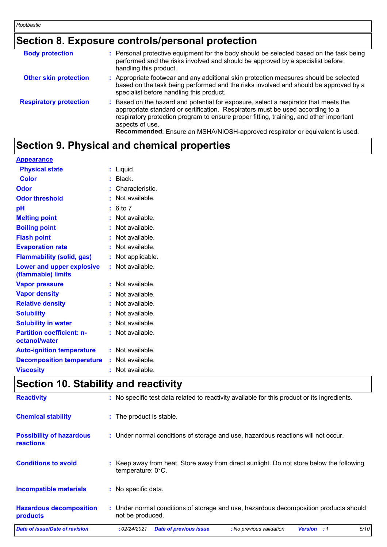## **Section 8. Exposure controls/personal protection**

| <b>Body protection</b>        | : Personal protective equipment for the body should be selected based on the task being<br>performed and the risks involved and should be approved by a specialist before<br>handling this product.                                                                                                                                                                 |
|-------------------------------|---------------------------------------------------------------------------------------------------------------------------------------------------------------------------------------------------------------------------------------------------------------------------------------------------------------------------------------------------------------------|
| <b>Other skin protection</b>  | : Appropriate footwear and any additional skin protection measures should be selected<br>based on the task being performed and the risks involved and should be approved by a<br>specialist before handling this product.                                                                                                                                           |
| <b>Respiratory protection</b> | : Based on the hazard and potential for exposure, select a respirator that meets the<br>appropriate standard or certification. Respirators must be used according to a<br>respiratory protection program to ensure proper fitting, training, and other important<br>aspects of use.<br>Recommended: Ensure an MSHA/NIOSH-approved respirator or equivalent is used. |

## **Section 9. Physical and chemical properties**

#### **Appearance**

| <b>Color</b><br>$:$ Black.                                            |  |
|-----------------------------------------------------------------------|--|
|                                                                       |  |
| Odor<br>: Characteristic.                                             |  |
| : Not available.<br><b>Odor threshold</b>                             |  |
| pH<br>: 6 to 7                                                        |  |
| <b>Melting point</b><br>: Not available.                              |  |
| : Not available.<br><b>Boiling point</b>                              |  |
| : Not available.<br><b>Flash point</b>                                |  |
| <b>Evaporation rate</b><br>: Not available.                           |  |
| <b>Flammability (solid, gas)</b><br>: Not applicable.                 |  |
| : Not available.<br>Lower and upper explosive<br>(flammable) limits   |  |
| : Not available.<br><b>Vapor pressure</b>                             |  |
| <b>Vapor density</b><br>: Not available.                              |  |
| <b>Relative density</b><br>: Not available.                           |  |
| <b>Solubility</b><br>: Not available.                                 |  |
| <b>Solubility in water</b><br>: Not available.                        |  |
| <b>Partition coefficient: n-</b><br>: Not available.<br>octanol/water |  |
| : Not available.<br><b>Auto-ignition temperature</b>                  |  |
| <b>Decomposition temperature</b><br>: Not available.                  |  |
| : Not available.<br><b>Viscosity</b>                                  |  |

## **Section 10. Stability and reactivity**

| <b>Reactivity</b>                            | : No specific test data related to reactivity available for this product or its ingredients.                      |  |  |  |  |  |
|----------------------------------------------|-------------------------------------------------------------------------------------------------------------------|--|--|--|--|--|
| <b>Chemical stability</b>                    | : The product is stable.                                                                                          |  |  |  |  |  |
| <b>Possibility of hazardous</b><br>reactions | : Under normal conditions of storage and use, hazardous reactions will not occur.                                 |  |  |  |  |  |
| <b>Conditions to avoid</b>                   | Keep away from heat. Store away from direct sunlight. Do not store below the following<br>temperature: 0°C.       |  |  |  |  |  |
| <b>Incompatible materials</b>                | : No specific data.                                                                                               |  |  |  |  |  |
| <b>Hazardous decomposition</b><br>products   | : Under normal conditions of storage and use, hazardous decomposition products should<br>not be produced.         |  |  |  |  |  |
| Date of issue/Date of revision               | 5/10<br>: 02/24/2021<br><b>Date of previous issue</b><br>: No previous validation<br><b>Version</b><br>$\cdot$ :1 |  |  |  |  |  |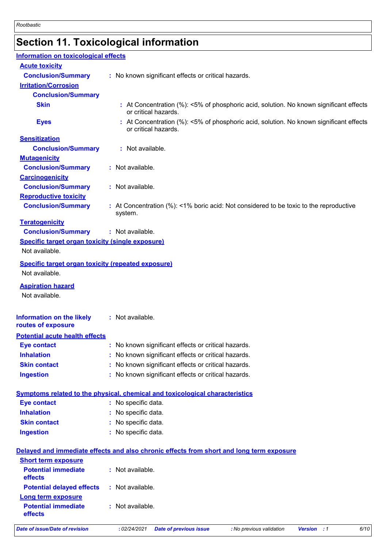# **Section 11. Toxicological information**

| Information on toxicological effects                                        |                                                                                                                |
|-----------------------------------------------------------------------------|----------------------------------------------------------------------------------------------------------------|
| <b>Acute toxicity</b>                                                       |                                                                                                                |
| <b>Conclusion/Summary</b>                                                   | : No known significant effects or critical hazards.                                                            |
| <b>Irritation/Corrosion</b>                                                 |                                                                                                                |
| <b>Conclusion/Summary</b>                                                   |                                                                                                                |
| <b>Skin</b>                                                                 | : At Concentration (%): <5% of phosphoric acid, solution. No known significant effects<br>or critical hazards. |
| <b>Eyes</b>                                                                 | : At Concentration (%): <5% of phosphoric acid, solution. No known significant effects<br>or critical hazards. |
| <b>Sensitization</b>                                                        |                                                                                                                |
| <b>Conclusion/Summary</b>                                                   | : Not available.                                                                                               |
| <b>Mutagenicity</b>                                                         |                                                                                                                |
| <b>Conclusion/Summary</b>                                                   | : Not available.                                                                                               |
| <b>Carcinogenicity</b>                                                      |                                                                                                                |
| <b>Conclusion/Summary</b>                                                   | : Not available.                                                                                               |
| <b>Reproductive toxicity</b>                                                |                                                                                                                |
| <b>Conclusion/Summary</b>                                                   | : At Concentration (%): <1% boric acid: Not considered to be toxic to the reproductive<br>system.              |
| <b>Teratogenicity</b>                                                       |                                                                                                                |
| <b>Conclusion/Summary</b>                                                   | : Not available.                                                                                               |
| <b>Specific target organ toxicity (single exposure)</b><br>Not available.   |                                                                                                                |
| <b>Specific target organ toxicity (repeated exposure)</b><br>Not available. |                                                                                                                |
| <b>Aspiration hazard</b><br>Not available.                                  |                                                                                                                |
| <b>Information on the likely</b><br>routes of exposure                      | : Not available.                                                                                               |
| <b>Potential acute health effects</b>                                       |                                                                                                                |
| <b>Eye contact</b>                                                          | No known significant effects or critical hazards.                                                              |
| <b>Inhalation</b>                                                           | No known significant effects or critical hazards.                                                              |
| <b>Skin contact</b>                                                         | No known significant effects or critical hazards.                                                              |
| <b>Ingestion</b>                                                            | No known significant effects or critical hazards.                                                              |
|                                                                             | <b>Symptoms related to the physical, chemical and toxicological characteristics</b>                            |
| <b>Eye contact</b>                                                          | : No specific data.                                                                                            |
| <b>Inhalation</b>                                                           | No specific data.                                                                                              |
| <b>Skin contact</b>                                                         | No specific data.                                                                                              |
| <b>Ingestion</b>                                                            | : No specific data.                                                                                            |
|                                                                             | Delayed and immediate effects and also chronic effects from short and long term exposure                       |
| <b>Short term exposure</b>                                                  |                                                                                                                |
| <b>Potential immediate</b><br>effects                                       | : Not available.                                                                                               |
| <b>Potential delayed effects</b>                                            | : Not available.                                                                                               |
|                                                                             |                                                                                                                |
| <b>Long term exposure</b><br><b>Potential immediate</b><br>effects          | : Not available.                                                                                               |
| <b>Date of issue/Date of revision</b>                                       | 6/10<br><b>Date of previous issue</b><br>: No previous validation<br><b>Version</b> : 1<br>: 02/24/2021        |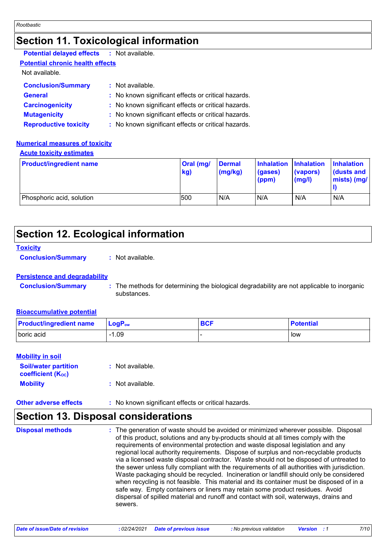## **Section 11. Toxicological information**

| <b>Potential delayed effects : Not available.</b>   |
|-----------------------------------------------------|
|                                                     |
|                                                     |
| : Not available.                                    |
| : No known significant effects or critical hazards. |
| : No known significant effects or critical hazards. |
| : No known significant effects or critical hazards. |
| : No known significant effects or critical hazards. |
|                                                     |

#### **Numerical measures of toxicity**

#### **Acute toxicity estimates**

| <b>Product/ingredient name</b> | Oral (mg/<br>kg) | <b>Dermal</b><br>(mg/kg) | Inhalation Inhalation<br>(gases)<br>(ppm) | (vapors)<br>(mg/l) | <b>Inhalation</b><br>dusts and<br>$\mid$ mists) (mg/ $\mid$ |
|--------------------------------|------------------|--------------------------|-------------------------------------------|--------------------|-------------------------------------------------------------|
| Phosphoric acid, solution      | 500              | N/A                      | N/A                                       | N/A                | N/A                                                         |

## **Section 12. Ecological information**

#### **Toxicity**

**Conclusion/Summary :** Not available.

#### **Persistence and degradability**

| <b>Conclusion/Summary</b> | The methods for determining the biological degradability are not applicable to inorganic |
|---------------------------|------------------------------------------------------------------------------------------|
|                           | substances.                                                                              |

#### **Bioaccumulative potential**

| <b>Product/ingredient name</b> | $LogPow$ | <b>BCF</b> | <b>Potential</b> |
|--------------------------------|----------|------------|------------------|
| boric acid                     | .09      |            | low              |

#### **Mobility in soil**

| <b>Soil/water partition</b><br><b>coefficient (Koc)</b> | : Not available. |
|---------------------------------------------------------|------------------|
| <b>Mobility</b>                                         | : Not available. |

**Other adverse effects :** No known significant effects or critical hazards.

## **Section 13. Disposal considerations**

The generation of waste should be avoided or minimized wherever possible. Disposal of this product, solutions and any by-products should at all times comply with the requirements of environmental protection and waste disposal legislation and any regional local authority requirements. Dispose of surplus and non-recyclable products via a licensed waste disposal contractor. Waste should not be disposed of untreated to the sewer unless fully compliant with the requirements of all authorities with jurisdiction. Waste packaging should be recycled. Incineration or landfill should only be considered when recycling is not feasible. This material and its container must be disposed of in a safe way. Empty containers or liners may retain some product residues. Avoid dispersal of spilled material and runoff and contact with soil, waterways, drains and sewers. **Disposal methods :**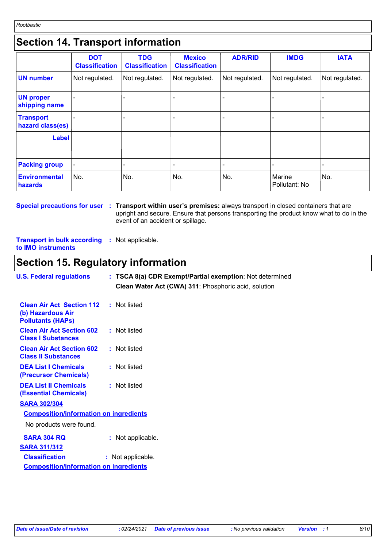## **Section 14. Transport information**

|                                      | <b>DOT</b><br><b>Classification</b> | <b>TDG</b><br><b>Classification</b> | <b>Mexico</b><br><b>Classification</b> | <b>ADR/RID</b> | <b>IMDG</b>             | <b>IATA</b>    |
|--------------------------------------|-------------------------------------|-------------------------------------|----------------------------------------|----------------|-------------------------|----------------|
| <b>UN</b> number                     | Not regulated.                      | Not regulated.                      | Not regulated.                         | Not regulated. | Not regulated.          | Not regulated. |
| <b>UN proper</b><br>shipping name    |                                     |                                     |                                        |                |                         |                |
| <b>Transport</b><br>hazard class(es) |                                     |                                     |                                        |                |                         |                |
| <b>Label</b>                         |                                     |                                     |                                        |                |                         |                |
| <b>Packing group</b>                 |                                     |                                     |                                        |                |                         |                |
| <b>Environmental</b><br>hazards      | No.                                 | No.                                 | No.                                    | No.            | Marine<br>Pollutant: No | No.            |

**Special precautions for user Transport within user's premises:** always transport in closed containers that are **:** upright and secure. Ensure that persons transporting the product know what to do in the event of an accident or spillage.

**Transport in bulk according :** Not applicable. **to IMO instruments**

## **Section 15. Regulatory information**

| <b>U.S. Federal regulations</b>                                                                | : TSCA 8(a) CDR Exempt/Partial exemption: Not determined |
|------------------------------------------------------------------------------------------------|----------------------------------------------------------|
|                                                                                                | Clean Water Act (CWA) 311: Phosphoric acid, solution     |
| <b>Clean Air Act Section 112 : Not listed</b><br>(b) Hazardous Air<br><b>Pollutants (HAPS)</b> |                                                          |
| <b>Clean Air Act Section 602</b><br><b>Class I Substances</b>                                  | : Not listed                                             |
| <b>Clean Air Act Section 602</b><br><b>Class II Substances</b>                                 | : Not listed                                             |
| <b>DEA List I Chemicals</b><br>(Precursor Chemicals)                                           | : Not listed                                             |
| <b>DEA List II Chemicals</b><br><b>(Essential Chemicals)</b>                                   | : Not listed                                             |
| <b>SARA 302/304</b>                                                                            |                                                          |
| <b>Composition/information on ingredients</b>                                                  |                                                          |
| No products were found.                                                                        |                                                          |
| <b>SARA 304 RQ</b>                                                                             | : Not applicable.                                        |
| <b>SARA 311/312</b><br><b>Classification</b><br><b>Composition/information on ingredients</b>  | : Not applicable.                                        |
|                                                                                                |                                                          |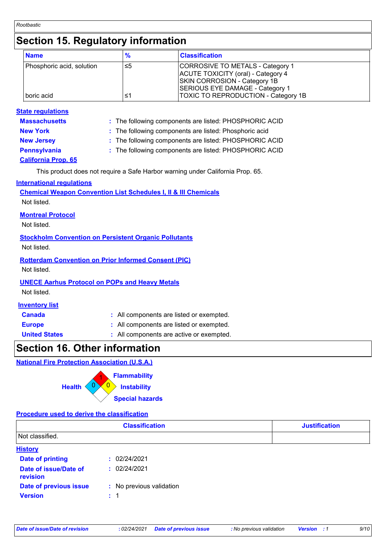## **Section 15. Regulatory information**

| <b>Name</b>               | $\frac{9}{6}$ | <b>Classification</b>                                                  |
|---------------------------|---------------|------------------------------------------------------------------------|
| Phosphoric acid, solution | ≤5            | CORROSIVE TO METALS - Category 1<br>ACUTE TOXICITY (oral) - Category 4 |
|                           |               | <b>SKIN CORROSION - Category 1B</b><br>SERIOUS EYE DAMAGE - Category 1 |
| boric acid                | ≤1            | <b>TOXIC TO REPRODUCTION - Category 1B</b>                             |

#### **State regulations**

**Massachusetts :** The following components are listed: PHOSPHORIC ACID

**New York :** The following components are listed: Phosphoric acid

**New Jersey :** The following components are listed: PHOSPHORIC ACID

**Pennsylvania :** The following components are listed: PHOSPHORIC ACID

## **California Prop. 65**

This product does not require a Safe Harbor warning under California Prop. 65.

#### **International regulations**

**Chemical Weapon Convention List Schedules I, II & III Chemicals** Not listed.

#### **Montreal Protocol**

Not listed.

#### **Stockholm Convention on Persistent Organic Pollutants**

Not listed.

#### **Rotterdam Convention on Prior Informed Consent (PIC)**

Not listed.

#### **UNECE Aarhus Protocol on POPs and Heavy Metals**

Not listed.

#### **Inventory list**

| <b>Canada</b> | : All components are listed or exempted. |
|---------------|------------------------------------------|
| <b>Europe</b> | : All components are listed or exempted. |

**United States :** All components are active or exempted.

## **Section 16. Other information**

**National Fire Protection Association (U.S.A.)**

|               | <b>Flammability</b>      |  |
|---------------|--------------------------|--|
| <b>Health</b> | $\mathsf{S}$ Instability |  |
|               | <b>Special hazards</b>   |  |

#### **Procedure used to derive the classification**

|                                   | <b>Classification</b>    | <b>Justification</b> |
|-----------------------------------|--------------------------|----------------------|
| Not classified.                   |                          |                      |
| <b>History</b>                    |                          |                      |
| <b>Date of printing</b>           | : 02/24/2021             |                      |
| Date of issue/Date of<br>revision | : 02/24/2021             |                      |
| Date of previous issue            | : No previous validation |                      |
| <b>Version</b>                    | $\therefore$ 1           |                      |